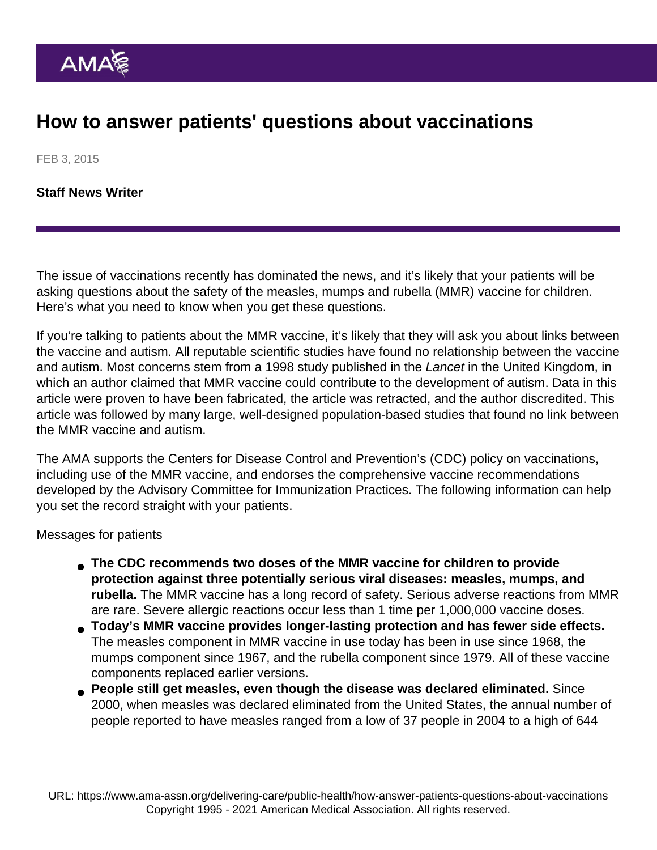## How to answer patients' questions about vaccinations

FEB 3, 2015

[Staff News Writer](https://www.ama-assn.org/news-leadership-viewpoints/authors-news-leadership-viewpoints/staff-news-writer)

The issue of vaccinations recently has dominated the news, and it's likely that your patients will be asking questions about the safety of the measles, mumps and rubella (MMR) vaccine for children. Here's what you need to know when you get these questions.

If you're talking to patients about the MMR vaccine, it's likely that they will ask you about links between the vaccine and autism. All reputable scientific studies have found no relationship between the vaccine and autism. Most concerns stem from a 1998 study published in the Lancet in the United Kingdom, in which an author claimed that MMR vaccine could contribute to the development of autism. Data in this article were proven to have been fabricated, the article was retracted, and the author discredited. This article was followed by many large, well-designed population-based studies that found no link between the MMR vaccine and autism.

The AMA supports the Centers for Disease Control and Prevention's (CDC) policy on vaccinations, including use of the MMR vaccine, and endorses the [comprehensive vaccine recommendations](http://www.cdc.gov/vaccines/hcp/acip-recs/index.html) developed by the Advisory Committee for Immunization Practices. The following information can help you set the record straight with your patients.

Messages for patients

- The CDC recommends two doses of the MMR vaccine for children to provide protection against three potentially serious viral diseases: measles, mumps, and rubella. The MMR vaccine has a long record of safety. Serious adverse reactions from MMR are rare. Severe allergic reactions occur less than 1 time per 1,000,000 vaccine doses.
- Today's MMR vaccine provides longer-lasting protection and has fewer side effects. The measles component in MMR vaccine in use today has been in use since 1968, the mumps component since 1967, and the rubella component since 1979. All of these vaccine components replaced earlier versions.
- **People still get measles, even though the disease was declared eliminated.** Since 2000, when measles was declared eliminated from the United States, the annual number of people reported to have measles ranged from a low of 37 people in 2004 to a high of 644